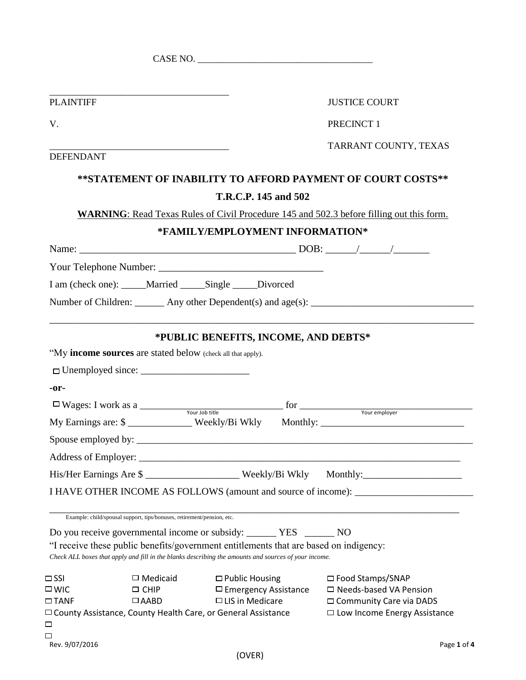|                              |                                                                        | CASE NO.                                                                                             |  |                                                                                                                   |
|------------------------------|------------------------------------------------------------------------|------------------------------------------------------------------------------------------------------|--|-------------------------------------------------------------------------------------------------------------------|
|                              |                                                                        |                                                                                                      |  |                                                                                                                   |
| <b>PLAINTIFF</b>             |                                                                        |                                                                                                      |  | <b>JUSTICE COURT</b>                                                                                              |
|                              |                                                                        |                                                                                                      |  |                                                                                                                   |
| V.                           |                                                                        | PRECINCT 1                                                                                           |  |                                                                                                                   |
|                              |                                                                        |                                                                                                      |  | TARRANT COUNTY, TEXAS                                                                                             |
| <b>DEFENDANT</b>             |                                                                        |                                                                                                      |  |                                                                                                                   |
|                              |                                                                        |                                                                                                      |  | **STATEMENT OF INABILITY TO AFFORD PAYMENT OF COURT COSTS**                                                       |
|                              |                                                                        | T.R.C.P. 145 and 502                                                                                 |  |                                                                                                                   |
|                              |                                                                        |                                                                                                      |  | <b>WARNING:</b> Read Texas Rules of Civil Procedure 145 and 502.3 before filling out this form.                   |
|                              |                                                                        | *FAMILY/EMPLOYMENT INFORMATION*                                                                      |  |                                                                                                                   |
|                              |                                                                        |                                                                                                      |  |                                                                                                                   |
|                              |                                                                        |                                                                                                      |  |                                                                                                                   |
|                              |                                                                        | I am (check one): _____Married _____Single _____Divorced                                             |  |                                                                                                                   |
|                              |                                                                        |                                                                                                      |  |                                                                                                                   |
|                              |                                                                        |                                                                                                      |  |                                                                                                                   |
| $-0r-$                       |                                                                        |                                                                                                      |  |                                                                                                                   |
|                              |                                                                        |                                                                                                      |  | $\Box$ Wages: I work as a $\frac{1}{\Box}$ Your Job title for $\frac{1}{\Box}$ for $\frac{1}{\Box}$ Your employer |
|                              |                                                                        |                                                                                                      |  | My Earnings are: \$ _____________ Weekly/Bi Wkly Monthly: _______________________                                 |
|                              |                                                                        |                                                                                                      |  |                                                                                                                   |
|                              |                                                                        |                                                                                                      |  |                                                                                                                   |
|                              |                                                                        |                                                                                                      |  | His/Her Earnings Are \$                                                                                           |
|                              |                                                                        |                                                                                                      |  | I HAVE OTHER INCOME AS FOLLOWS (amount and source of income): __________________                                  |
|                              | Example: child/spousal support, tips/bonuses, retirement/pension, etc. |                                                                                                      |  |                                                                                                                   |
|                              |                                                                        |                                                                                                      |  |                                                                                                                   |
|                              |                                                                        | "I receive these public benefits/government entitlements that are based on indigency:                |  |                                                                                                                   |
|                              |                                                                        | Check ALL boxes that apply and fill in the blanks describing the amounts and sources of your income. |  |                                                                                                                   |
| $\Box$ SSI                   | $\Box$ Medicaid                                                        | $\Box$ Public Housing                                                                                |  | □ Food Stamps/SNAP                                                                                                |
| $\square$ WIC<br>$\Box$ TANF | $\Box$ CHIP<br>$\Box$ AABD                                             | $\Box$ Emergency Assistance<br>$\Box$ LIS in Medicare                                                |  | $\Box$ Needs-based VA Pension                                                                                     |
|                              |                                                                        | $\Box$ County Assistance, County Health Care, or General Assistance                                  |  | □ Community Care via DADS<br>$\Box$ Low Income Energy Assistance                                                  |
| 口                            |                                                                        |                                                                                                      |  |                                                                                                                   |
| □<br>Rev. 9/07/2016          |                                                                        |                                                                                                      |  | Page 1 of 4                                                                                                       |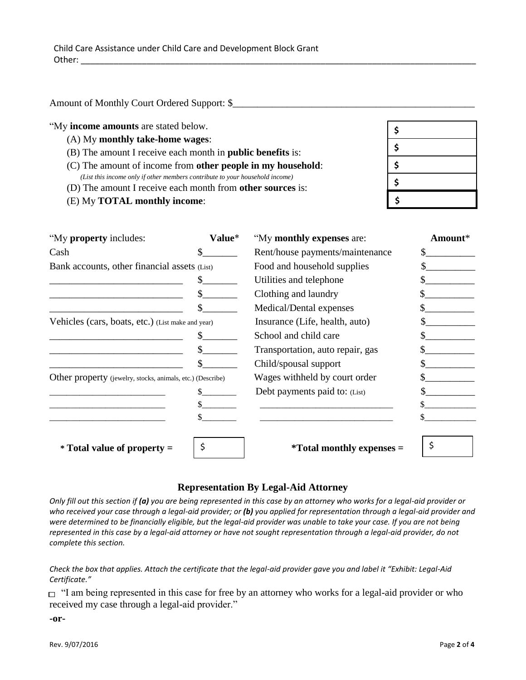Amount of Monthly Court Ordered Support: \$\_\_\_\_\_\_\_\_\_\_\_\_\_\_\_\_\_\_\_\_\_\_\_\_\_\_\_\_\_\_\_\_\_\_\_\_\_\_\_\_\_\_\_\_\_\_\_\_\_

"My **income amounts** are stated below.

- (A) My **monthly take-home wages**:
- (B) The amount I receive each month in **public benefits** is:
- (C) The amount of income from **other people in my household**: *(List this income only if other members contribute to your household income)*
- (D) The amount I receive each month from **other sources** is:
- (E) My **TOTAL monthly income**:

| \$ |
|----|
| \$ |
| \$ |
| \$ |
| \$ |

| "My property includes:                                     | Value* | "My monthly expenses are:        | Amount* |
|------------------------------------------------------------|--------|----------------------------------|---------|
| Cash                                                       |        | Rent/house payments/maintenance  |         |
| Bank accounts, other financial assets (List)               |        | Food and household supplies      |         |
|                                                            |        | Utilities and telephone          |         |
|                                                            |        | Clothing and laundry             |         |
|                                                            |        | Medical/Dental expenses          |         |
| Vehicles (cars, boats, etc.) (List make and year)          |        | Insurance (Life, health, auto)   |         |
|                                                            |        | School and child care            |         |
|                                                            |        | Transportation, auto repair, gas |         |
|                                                            |        | Child/spousal support            |         |
| Other property (jewelry, stocks, animals, etc.) (Describe) |        | Wages withheld by court order    |         |
|                                                            |        | Debt payments paid to: (List)    |         |
|                                                            |        |                                  |         |
|                                                            |        |                                  |         |
| * Total value of property =                                |        | <i>*Total monthly expenses =</i> |         |

## **Representation By Legal-Aid Attorney**

*Only fill out this section if (a) you are being represented in this case by an attorney who works for a legal-aid provider or who received your case through a legal-aid provider; or (b) you applied for representation through a legal-aid provider and were determined to be financially eligible, but the legal-aid provider was unable to take your case. If you are not being represented in this case by a legal-aid attorney or have not sought representation through a legal-aid provider, do not complete this section.*

#### *Check the box that applies. Attach the certificate that the legal-aid provider gave you and label it "Exhibit: Legal-Aid Certificate."*

□ "I am being represented in this case for free by an attorney who works for a legal-aid provider or who received my case through a legal-aid provider."

**-or-**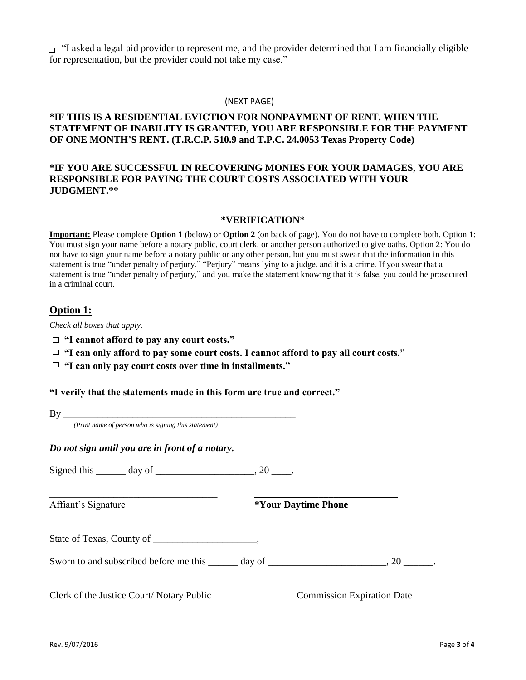$\Box$  "I asked a legal-aid provider to represent me, and the provider determined that I am financially eligible for representation, but the provider could not take my case."

#### (NEXT PAGE)

## **\*IF THIS IS A RESIDENTIAL EVICTION FOR NONPAYMENT OF RENT, WHEN THE STATEMENT OF INABILITY IS GRANTED, YOU ARE RESPONSIBLE FOR THE PAYMENT OF ONE MONTH'S RENT. (T.R.C.P. 510.9 and T.P.C. 24.0053 Texas Property Code)**

## **\*IF YOU ARE SUCCESSFUL IN RECOVERING MONIES FOR YOUR DAMAGES, YOU ARE RESPONSIBLE FOR PAYING THE COURT COSTS ASSOCIATED WITH YOUR JUDGMENT.\*\***

#### **\*VERIFICATION\***

**Important:** Please complete **Option 1** (below) or **Option 2** (on back of page). You do not have to complete both. Option 1: You must sign your name before a notary public, court clerk, or another person authorized to give oaths. Option 2: You do not have to sign your name before a notary public or any other person, but you must swear that the information in this statement is true "under penalty of perjury." "Perjury" means lying to a judge, and it is a crime. If you swear that a statement is true "under penalty of perjury," and you make the statement knowing that it is false, you could be prosecuted in a criminal court.

### **Option 1:**

*Check all boxes that apply.*

- **"I cannot afford to pay any court costs."**
- **"I can only afford to pay some court costs. I cannot afford to pay all court costs."**

\_\_\_\_\_\_\_\_\_\_\_\_\_\_\_\_\_\_\_\_\_\_\_\_\_\_\_\_\_\_\_\_\_\_ **\_\_\_\_\_\_\_\_\_\_\_\_\_\_\_\_\_\_\_\_\_\_\_\_\_\_\_\_\_**

**"I can only pay court costs over time in installments."**

## **"I verify that the statements made in this form are true and correct."**

*(Print name of person who is signing this statement)*

*Do not sign until you are in front of a notary.*

Signed this  $\qquad \qquad \text{day of} \qquad \qquad .20 \qquad .$ 

Affiant's Signature **\*Your Daytime Phone**

State of Texas, County of \_\_\_\_\_\_\_\_\_\_\_\_\_\_,

Sworn to and subscribed before me this \_\_\_\_\_\_ day of \_\_\_\_\_\_\_\_\_\_\_\_\_\_\_\_\_\_\_\_\_\_\_\_, 20 \_\_\_\_\_\_.

\_\_\_\_\_\_\_\_\_\_\_\_\_\_\_\_\_\_\_\_\_\_\_\_\_\_\_\_\_\_\_\_\_\_\_ \_\_\_\_\_\_\_\_\_\_\_\_\_\_\_\_\_\_\_\_\_\_\_\_\_\_\_\_\_\_

Clerk of the Justice Court/ Notary Public Commission Expiration Date